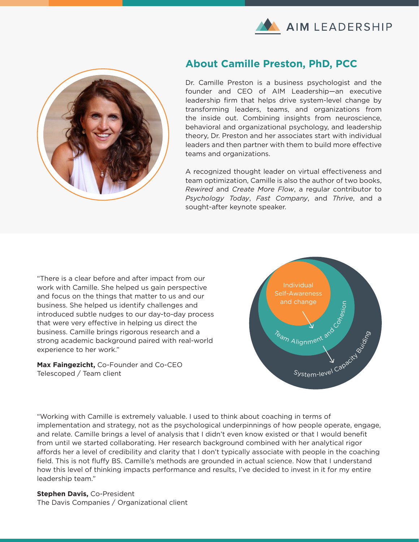



### **About Camille Preston, PhD, PCC**

Dr. Camille Preston is a business psychologist and the founder and CEO of AIM Leadership—an executive leadership firm that helps drive system-level change by transforming leaders, teams, and organizations from the inside out. Combining insights from neuroscience, behavioral and organizational psychology, and leadership theory, Dr. Preston and her associates start with individual leaders and then partner with them to build more effective teams and organizations.

A recognized thought leader on virtual effectiveness and team optimization, Camille is also the author of two books, *Rewired* and *Create More Flow*, a regular contributor to *Psychology Today*, *Fast Company*, and *Thrive*, and a sought-after keynote speaker.

"There is a clear before and after impact from our work with Camille. She helped us gain perspective and focus on the things that matter to us and our business. She helped us identify challenges and introduced subtle nudges to our day-to-day process that were very effective in helping us direct the business. Camille brings rigorous research and a strong academic background paired with real-world experience to her work."

Max Faingezicht, Co-Founder and Co-CEO Telescoped / Team client



"Working with Camille is extremely valuable. I used to think about coaching in terms of implementation and strategy, not as the psychological underpinnings of how people operate, engage, and relate. Camille brings a level of analysis that I didn't even know existed or that I would benefit from until we started collaborating. Her research background combined with her analytical rigor affords her a level of credibility and clarity that I don't typically associate with people in the coaching field. This is not fluffy BS. Camille's methods are grounded in actual science. Now that I understand how this level of thinking impacts performance and results, I've decided to invest in it for my entire leadership team."

**Stephen Davis, Co-President** The Davis Companies / Organizational client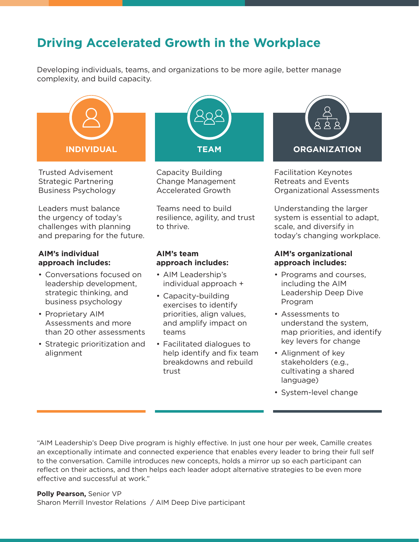# **Driving Accelerated Growth in the Workplace**

Developing individuals, teams, and organizations to be more agile, better manage complexity, and build capacity.



Trusted Advisement Strategic Partnering Business Psychology

Leaders must balance the urgency of today's challenges with planning and preparing for the future.

#### **AIM's individual approach includes:**

- Conversations focused on leadership development, strategic thinking, and business psychology
- Proprietary AIM Assessments and more than 20 other assessments
- Strategic prioritization and alignment



Capacity Building Change Management Accelerated Growth

Teams need to build resilience, agility, and trust to thrive.

#### **AIM's team approach includes:**

- AIM Leadership's individual approach +
- Capacity-building exercises to identify priorities, align values, and amplify impact on teams
- Facilitated dialogues to help identify and fix team breakdowns and rebuild trust



Facilitation Keynotes Retreats and Events Organizational Assessments

Understanding the larger system is essential to adapt, scale, and diversify in today's changing workplace.

### **AIM's organizational approach includes:**

- Programs and courses, including the AIM Leadership Deep Dive Program
- Assessments to understand the system, map priorities, and identify key levers for change
- Alignment of key stakeholders (e.g., cultivating a shared language)
- System-level change

"AIM Leadership's Deep Dive program is highly effective. In just one hour per week, Camille creates an exceptionally intimate and connected experience that enables every leader to bring their full self to the conversation. Camille introduces new concepts, holds a mirror up so each participant can reflect on their actions, and then helps each leader adopt alternative strategies to be even more effective and successful at work."

**Polly Pearson,** Senior VP Sharon Merrill Investor Relations / AIM Deep Dive participant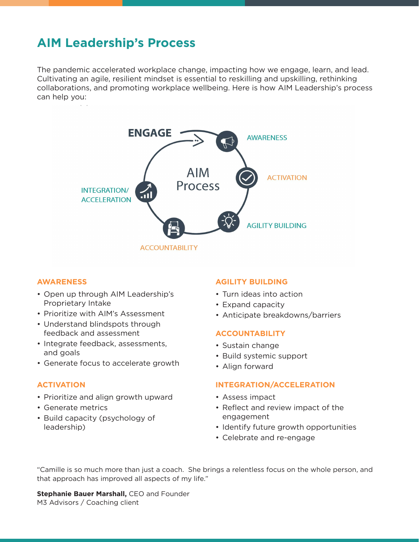## **AIM Leadership's Process**

The pandemic accelerated workplace change, impacting how we engage, learn, and lead. Cultivating an agile, resilient mindset is essential to reskilling and upskilling, rethinking collaborations, and promoting workplace wellbeing. Here is how AIM Leadership's process can help you:



#### **AWARENESS**

- Open up through AIM Leadership's Proprietary Intake
- Prioritize with AIM's Assessment
- Understand blindspots through feedback and assessment
- Integrate feedback, assessments, and goals
- Generate focus to accelerate growth

#### **ACTIVATION**

- Prioritize and align growth upward
- Generate metrics
- Build capacity (psychology of leadership)

#### **AGILITY BUILDING**

- Turn ideas into action
- Expand capacity
- Anticipate breakdowns/barriers

#### **ACCOUNTABILITY**

- Sustain change
- Build systemic support
- Align forward

#### **INTEGRATION/ACCELERATION**

- Assess impact
- Reflect and review impact of the engagement
- Identify future growth opportunities
- Celebrate and re-engage

"Camille is so much more than just a coach. She brings a relentless focus on the whole person, and that approach has improved all aspects of my life."

**Stephanie Bauer Marshall, CEO and Founder** M3 Advisors / Coaching client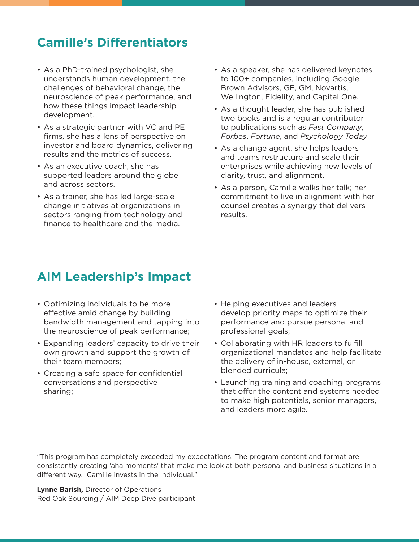## **Camille's Di!erentiators**

- As a PhD-trained psychologist, she understands human development, the challenges of behavioral change, the neuroscience of peak performance, and how these things impact leadership development.
- As a strategic partner with VC and PE firms, she has a lens of perspective on investor and board dynamics, delivering results and the metrics of success.
- As an executive coach, she has supported leaders around the globe and across sectors.
- As a trainer, she has led large-scale change initiatives at organizations in sectors ranging from technology and finance to healthcare and the media.
- As a speaker, she has delivered keynotes to 100+ companies, including Google, Brown Advisors, GE, GM, Novartis, Wellington, Fidelity, and Capital One.
- As a thought leader, she has published two books and is a regular contributor to publications such as *Fast Company*, *Forbes*, *Fortune*, and *Psychology Today*.
- As a change agent, she helps leaders and teams restructure and scale their enterprises while achieving new levels of clarity, trust, and alignment.
- As a person, Camille walks her talk; her commitment to live in alignment with her counsel creates a synergy that delivers results.

## **AIM Leadership's Impact**

- Optimizing individuals to be more effective amid change by building bandwidth management and tapping into the neuroscience of peak performance;
- Expanding leaders' capacity to drive their own growth and support the growth of their team members;
- Creating a safe space for confidential conversations and perspective sharing;
- Helping executives and leaders develop priority maps to optimize their performance and pursue personal and professional goals;
- . Collaborating with HR leaders to fulfill organizational mandates and help facilitate the delivery of in-house, external, or blended curricula;
- Launching training and coaching programs that offer the content and systems needed to make high potentials, senior managers, and leaders more agile.

"This program has completely exceeded my expectations. The program content and format are consistently creating 'aha moments' that make me look at both personal and business situations in a different way. Camille invests in the individual."

**Lynne Barish,** Director of Operations Red Oak Sourcing / AIM Deep Dive participant